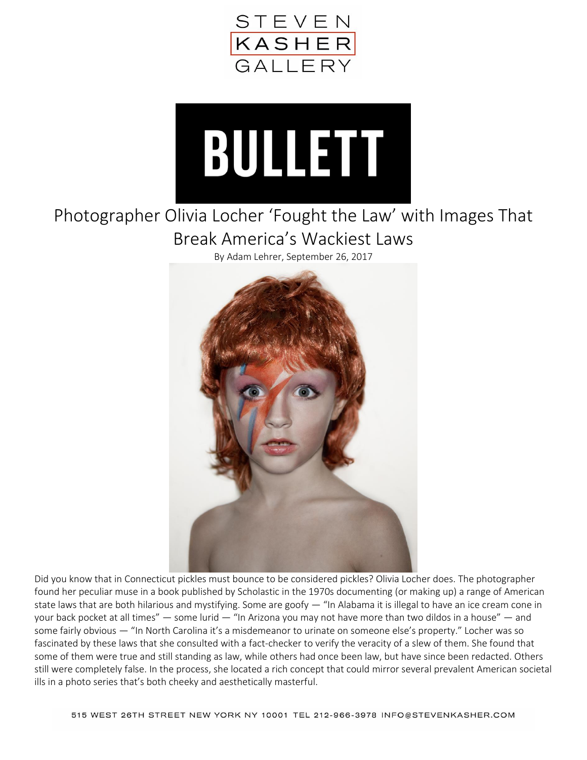



## Photographer Olivia Locher 'Fought the Law' with Images That Break America's Wackiest Laws

By Adam Lehrer, September 26, 2017



Did you know that in Connecticut pickles must bounce to be considered pickles? Olivia Locher does. The photographer found her peculiar muse in a book published by Scholastic in the 1970s documenting (or making up) a range of American state laws that are both hilarious and mystifying. Some are goofy  $-$  "In Alabama it is illegal to have an ice cream cone in your back pocket at all times" — some lurid — "In Arizona you may not have more than two dildos in a house" — and some fairly obvious — "In North Carolina it's a misdemeanor to urinate on someone else's property." Locher was so fascinated by these laws that she consulted with a fact-checker to verify the veracity of a slew of them. She found that some of them were true and still standing as law, while others had once been law, but have since been redacted. Others still were completely false. In the process, she located a rich concept that could mirror several prevalent American societal ills in a photo series that's both cheeky and aesthetically masterful.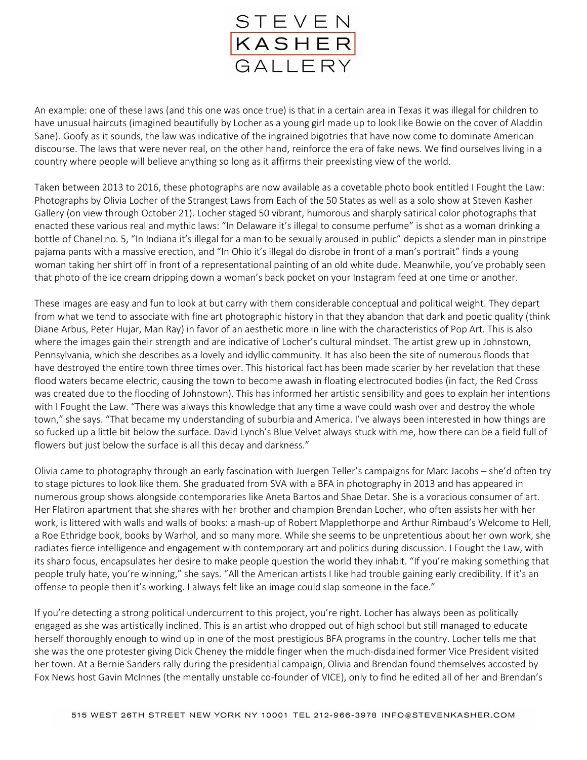

An example: one of these laws (and this one was once true) is that in a certain area in Texas it was illegal for children to have unusual haircuts (imagined beautifully by Locher as a young girl made up to look like Bowie on the cover of Aladdin Sane). Goofy as it sounds, the law was indicative of the ingrained bigotries that have now come to dominate American discourse. The laws that were never real, on the other hand, reinforce the era of fake news. We find ourselves living in a country where people will believe anything so long as it affirms their preexisting view of the world.

Taken between 2013 to 2016, these photographs are now available as a covetable photo book entitled I Fought the Law: Photographs by Olivia Locher of the Strangest Laws from Each of the 50 States as well as a solo show at Steven Kasher Gallery (on view through October 21). Locher staged 50 vibrant, humorous and sharply satirical color photographs that enacted these various real and mythic laws: "In Delaware it's illegal to consume perfume" is shot as a woman drinking a bottle of Chanel no. 5, "In Indiana it's illegal for a man to be sexually aroused in public" depicts a slender man in pinstripe pajama pants with a massive erection, and "In Ohio it's illegal do disrobe in front of a man's portrait" finds a young woman taking her shirt off in front of a representational painting of an old white dude. Meanwhile, you've probably seen that photo of the ice cream dripping down a woman's back pocket on your Instagram feed at one time or another.

These images are easy and fun to look at but carry with them considerable conceptual and political weight. They depart from what we tend to associate with fine art photographic history in that they abandon that dark and poetic quality (think Diane Arbus, Peter Hujar, Man Ray) in favor of an aesthetic more in line with the characteristics of Pop Art. This is also where the images gain their strength and are indicative of Locher's cultural mindset. The artist grew up in Johnstown, Pennsylvania, which she describes as a lovely and idyllic community. It has also been the site of numerous floods that have destroyed the entire town three times over. This historical fact has been made scarier by her revelation that these flood waters became electric, causing the town to become awash in floating electrocuted bodies (in fact, the Red Cross was created due to the flooding of Johnstown). This has informed her artistic sensibility and goes to explain her intentions with I Fought the Law. "There was always this knowledge that any time a wave could wash over and destroy the whole town," she says. "That became my understanding of suburbia and America. I've always been interested in how things are so fucked up a little bit below the surface. David Lynch's Blue Velvet always stuck with me, how there can be a field full of flowers but just below the surface is all this decay and darkness."

Olivia came to photography through an early fascination with Juergen Teller's campaigns for Marc Jacobs – she'd often try to stage pictures to look like them. She graduated from SVA with a BFA in photography in 2013 and has appeared in numerous group shows alongside contemporaries like Aneta Bartos and Shae Detar. She is a voracious consumer of art. Her Flatiron apartment that she shares with her brother and champion Brendan Locher, who often assists her with her work, is littered with walls and walls of books: a mash-up of Robert Mapplethorpe and Arthur Rimbaud's Welcome to Hell, a Roe Ethridge book, books by Warhol, and so many more. While she seems to be unpretentious about her own work, she radiates fierce intelligence and engagement with contemporary art and politics during discussion. I Fought the Law, with its sharp focus, encapsulates her desire to make people question the world they inhabit. "If you're making something that people truly hate, you're winning," she says. "All the American artists I like had trouble gaining early credibility. If it's an offense to people then it's working. I always felt like an image could slap someone in the face."

If you're detecting a strong political undercurrent to this project, you're right. Locher has always been as politically engaged as she was artistically inclined. This is an artist who dropped out of high school but still managed to educate herself thoroughly enough to wind up in one of the most prestigious BFA programs in the country. Locher tells me that she was the one protester giving Dick Cheney the middle finger when the much-disdained former Vice President visited her town. At a Bernie Sanders rally during the presidential campaign, Olivia and Brendan found themselves accosted by Fox News host Gavin McInnes (the mentally unstable co-founder of VICE), only to find he edited all of her and Brendan's